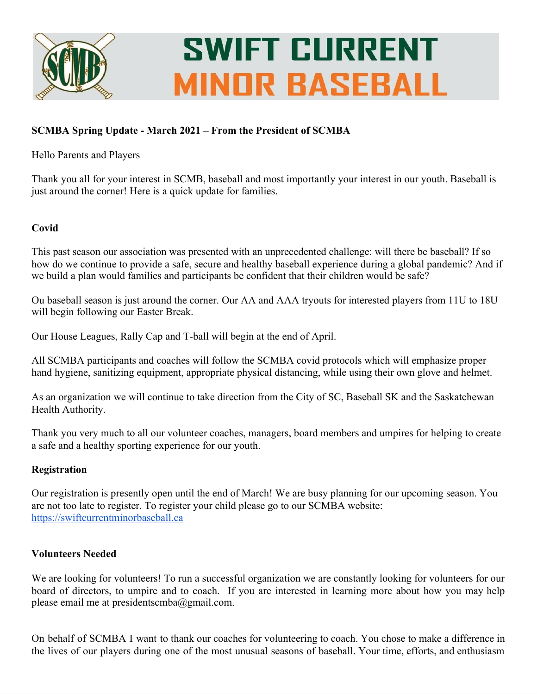

# **SWIFT CURRENT MINOR BASEBALL**

## **SCMBA Spring Update - March 2021 – From the President of SCMBA**

## Hello Parents and Players

Thank you all for your interest in SCMB, baseball and most importantly your interest in our youth. Baseball is just around the corner! Here is a quick update for families.

## **Covid**

This past season our association was presented with an unprecedented challenge: will there be baseball? If so how do we continue to provide a safe, secure and healthy baseball experience during a global pandemic? And if we build a plan would families and participants be confident that their children would be safe?

Ou baseball season is just around the corner. Our AA and AAA tryouts for interested players from 11U to 18U will begin following our Easter Break.

Our House Leagues, Rally Cap and T-ball will begin at the end of April.

All SCMBA participants and coaches will follow the SCMBA covid protocols which will emphasize proper hand hygiene, sanitizing equipment, appropriate physical distancing, while using their own glove and helmet.

As an organization we will continue to take direction from the City of SC, Baseball SK and the Saskatchewan Health Authority.

Thank you very much to all our volunteer coaches, managers, board members and umpires for helping to create a safe and a healthy sporting experience for our youth.

## **Registration**

Our registration is presently open until the end of March! We are busy planning for our upcoming season. You are not too late to register. To register your child please go to our SCMBA website: [https://swiftcurrentminorbaseball.ca](https://swiftcurrentminorbaseball.ca/)

## **Volunteers Needed**

We are looking for volunteers! To run a successful organization we are constantly looking for volunteers for our board of directors, to umpire and to coach. If you are interested in learning more about how you may help please email me at presidentscmba@gmail.com.

On behalf of SCMBA I want to thank our coaches for volunteering to coach. You chose to make a difference in the lives of our players during one of the most unusual seasons of baseball. Your time, efforts, and enthusiasm